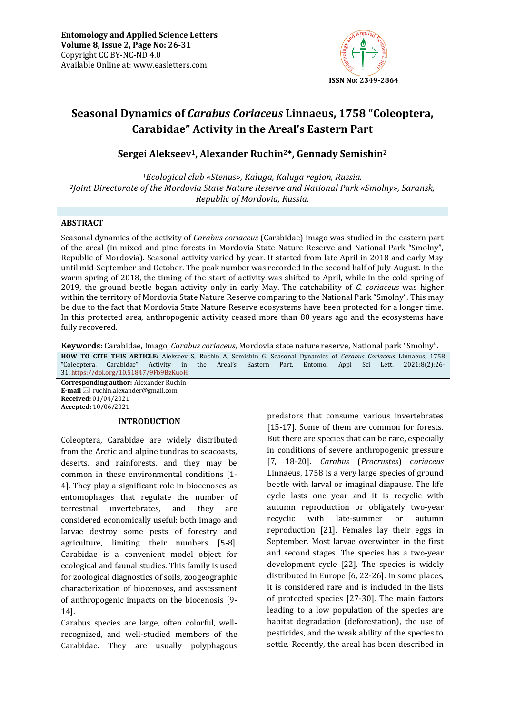

# **Seasonal Dynamics of** *Carabus Coriaceus* **Linnaeus, 1758 "Coleoptera, Carabidae" Activity in the Areal's Eastern Part**

## **Sergei Alekseev1, Alexander Ruchin2\*, Gennady Semishin<sup>2</sup>**

*<sup>1</sup>Ecological club «Stenus», Kaluga, Kaluga region, Russia. <sup>2</sup>Joint Directorate of the Mordovia State Nature Reserve and National Park «Smolny», Saransk, Republic of Mordovia, Russia.*

## **ABSTRACT**

Seasonal dynamics of the activity of *Carabus coriaceus* (Carabidae) imago was studied in the eastern part of the areal (in mixed and pine forests in Mordovia State Nature Reserve and National Park "Smolny", Republic of Mordovia). Seasonal activity varied by year. It started from late April in 2018 and early May until mid-September and October. The peak number was recorded in the second half of July-August. In the warm spring of 2018, the timing of the start of activity was shifted to April, while in the cold spring of 2019, the ground beetle began activity only in early May. The catchability of *C. coriaceus* was higher within the territory of Mordovia State Nature Reserve comparing to the National Park "Smolny". This may be due to the fact that Mordovia State Nature Reserve ecosystems have been protected for a longer time. In this protected area, anthropogenic activity ceased more than 80 years ago and the ecosystems have fully recovered.

**Keywords:** Carabidae, Imago, *Carabus coriaceus*, Mordovia state nature reserve, National park "Smolny"*.*

**HOW TO CITE THIS ARTICLE:** Alekseev S, Ruchin A, Semishin G. Seasonal Dynamics of *Carabus Coriaceus* Linnaeus, 1758 "Coleoptera, Carabidae" Activity in the Areal's Eastern Part. Entomol Appl Sci Lett. 2021;8(2):26- 31. <https://doi.org/10.51847/9Fb9BzKuoH>

**Corresponding author:** Alexander Ruchin **E-mail** ⊠ ruchin.alexander@gmail.com **Received:** 01/04/2021 **Accepted:** 10/06/2021

## **INTRODUCTION**

Coleoptera, Carabidae are widely distributed from the Arctic and alpine tundras to seacoasts, deserts, and rainforests, and they may be common in these environmental conditions [1- 4]. They play a significant role in biocenoses as entomophages that regulate the number of terrestrial invertebrates, and they are considered economically useful: both imago and larvae destroy some pests of forestry and agriculture, limiting their numbers [5-8]. Carabidae is a convenient model object for ecological and faunal studies. This family is used for zoological diagnostics of soils, zoogeographic characterization of biocenoses, and assessment of anthropogenic impacts on the biocenosis [9- 14].

Carabus species are large, often colorful, wellrecognized, and well-studied members of the Carabidae. They are usually polyphagous

predators that consume various invertebrates [15-17]. Some of them are common for forests. But there are species that can be rare, especially in conditions of severe anthropogenic pressure [7, 18-20]. *Carabus* (*Procrustes*) c*oriaceus* Linnaeus, 1758 is a very large species of ground beetle with larval or imaginal diapause. The life cycle lasts one year and it is recyclic with autumn reproduction or obligately two-year recyclic with late-summer or autumn reproduction [21]. Females lay their eggs in September. Most larvae overwinter in the first and second stages. The species has a two-year development cycle [22]. The species is widely distributed in Europe [6, 22-26]. In some places, it is considered rare and is included in the lists of protected species [27-30]. The main factors leading to a low population of the species are habitat degradation (deforestation), the use of pesticides, and the weak ability of the species to settle. Recently, the areal has been described in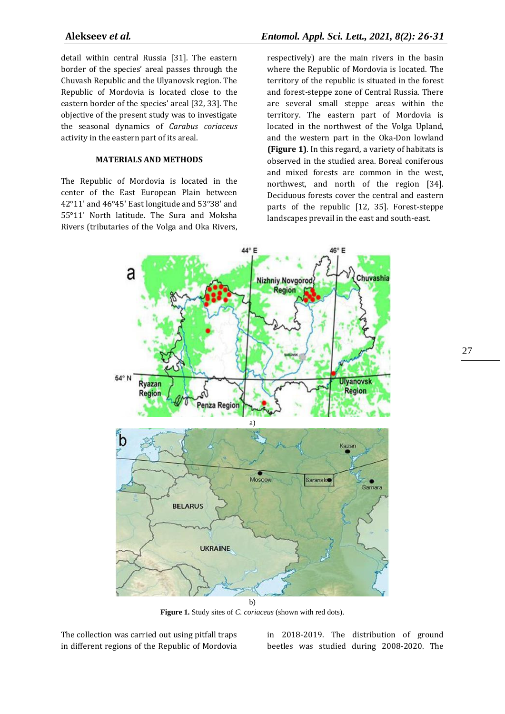detail within central Russia [31]. The eastern border of the species' areal passes through the Chuvash Republic and the Ulyanovsk region. The Republic of Mordovia is located close to the eastern border of the species' areal [32, 33]. The objective of the present study was to investigate the seasonal dynamics of *Carabus coriaceus*  activity in the eastern part of its areal.

## **MATERIALS AND METHODS**

The Republic of Mordovia is located in the center of the East European Plain between 42°11' and 46°45' East longitude and 53°38' and 55°11' North latitude. The Sura and Moksha Rivers (tributaries of the Volga and Oka Rivers,

## **Alekseev** *et al.**Entomol. Appl. Sci. Lett., 2021, 8(2): 26-31*

respectively) are the main rivers in the basin where the Republic of Mordovia is located. The territory of the republic is situated in the forest and forest-steppe zone of Central Russia. There are several small steppe areas within the territory. The eastern part of Mordovia is located in the northwest of the Volga Upland, and the western part in the Oka-Don lowland **(Figure 1)**. In this regard, a variety of habitats is observed in the studied area. Boreal coniferous and mixed forests are common in the west, northwest, and north of the region [34]. Deciduous forests cover the central and eastern parts of the republic [12, 35]. Forest-steppe landscapes prevail in the east and south-east.



**Figure 1.** Study sites of *C. coriaceus* (shown with red dots).

The collection was carried out using pitfall traps in different regions of the Republic of Mordovia

in 2018-2019. The distribution of ground beetles was studied during 2008-2020. The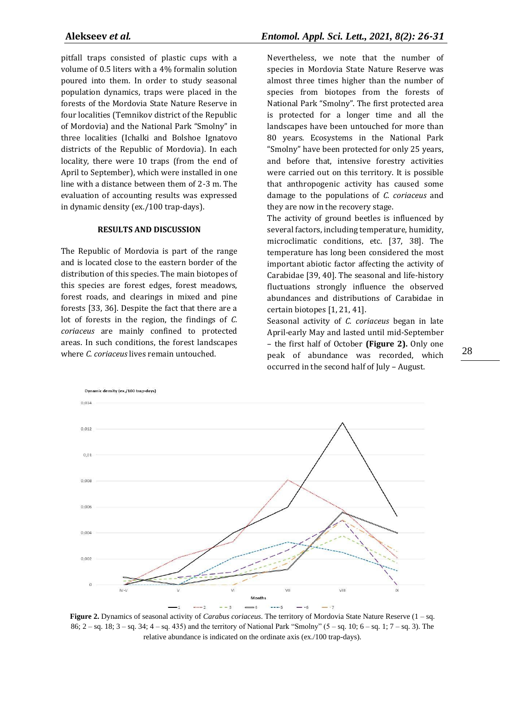pitfall traps consisted of plastic cups with a volume of 0.5 liters with a 4% formalin solution poured into them. In order to study seasonal population dynamics, traps were placed in the forests of the Mordovia State Nature Reserve in four localities (Temnikov district of the Republic of Mordovia) and the National Park "Smolny" in three localities (Ichalki and Bolshoe Ignatovo districts of the Republic of Mordovia). In each locality, there were 10 traps (from the end of April to September), which were installed in one line with a distance between them of 2-3 m. The evaluation of accounting results was expressed in dynamic density (ex./100 trap-days).

## **RESULTS AND DISCUSSION**

The Republic of Mordovia is part of the range and is located close to the eastern border of the distribution of this species. The main biotopes of this species are forest edges, forest meadows, forest roads, and clearings in mixed and pine forests [33, 36]. Despite the fact that there are a lot of forests in the region, the findings of *C. coriaceus* are mainly confined to protected areas. In such conditions, the forest landscapes where *C. coriaceus* lives remain untouched.

Nevertheless, we note that the number of species in Mordovia State Nature Reserve was almost three times higher than the number of species from biotopes from the forests of National Park "Smolny". The first protected area is protected for a longer time and all the landscapes have been untouched for more than 80 years. Ecosystems in the National Park "Smolny" have been protected for only 25 years, and before that, intensive forestry activities were carried out on this territory. It is possible that anthropogenic activity has caused some damage to the populations of *C. coriaceus* and they are now in the recovery stage.

The activity of ground beetles is influenced by several factors, including temperature, humidity, microclimatic conditions, etc. [37, 38]. The temperature has long been considered the most important abiotic factor affecting the activity of Carabidae [39, 40]. The seasonal and life-history fluctuations strongly influence the observed abundances and distributions of Carabidae in certain biotopes [1, 21, 41].

Seasonal activity of *C. coriaceus* began in late April-early May and lasted until mid-September – the first half of October **(Figure 2).** Only one peak of abundance was recorded, which occurred in the second half of July – August.



**Figure 2.** Dynamics of seasonal activity of *Carabus coriaceus*. The territory of Mordovia State Nature Reserve (1 – sq. 86; 2 – sq. 18; 3 – sq. 34; 4 – sq. 435) and the territory of National Park "Smolny" (5 – sq. 10; 6 – sq. 1; 7 – sq. 3). The relative abundance is indicated on the ordinate axis (ex./100 trap-days).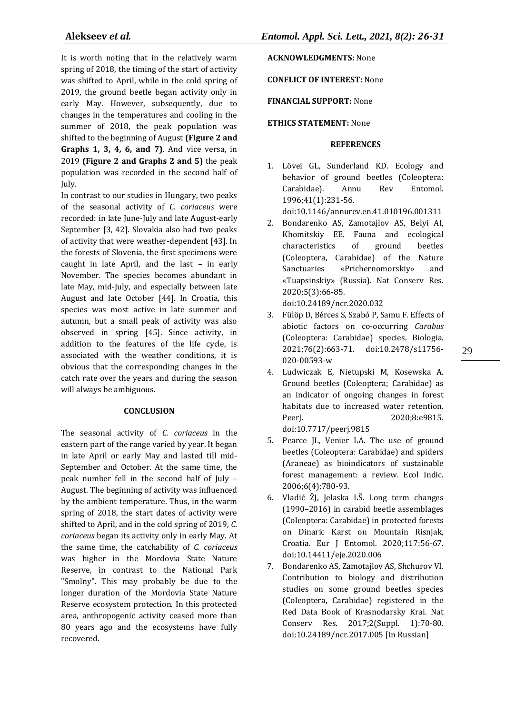It is worth noting that in the relatively warm spring of 2018, the timing of the start of activity was shifted to April, while in the cold spring of 2019, the ground beetle began activity only in early May. However, subsequently, due to changes in the temperatures and cooling in the summer of 2018, the peak population was shifted to the beginning of August **(Figure 2 and Graphs 1, 3, 4, 6, and 7)**. And vice versa, in 2019 **(Figure 2 and Graphs 2 and 5)** the peak population was recorded in the second half of July.

In contrast to our studies in Hungary, two peaks of the seasonal activity of *C. coriaceus* were recorded: in late June-July and late August-early September [3, 42]. Slovakia also had two peaks of activity that were weather-dependent [43]. In the forests of Slovenia, the first specimens were caught in late April, and the last – in early November. The species becomes abundant in late May, mid-July, and especially between late August and late October [44]. In Croatia, this species was most active in late summer and autumn, but a small peak of activity was also observed in spring [45]. Since activity, in addition to the features of the life cycle, is associated with the weather conditions, it is obvious that the corresponding changes in the catch rate over the years and during the season will always be ambiguous.

## **CONCLUSION**

The seasonal activity of *C. coriaceus* in the eastern part of the range varied by year. It began in late April or early May and lasted till mid-September and October. At the same time, the peak number fell in the second half of July – August. The beginning of activity was influenced by the ambient temperature. Thus, in the warm spring of 2018, the start dates of activity were shifted to April, and in the cold spring of 2019, *C. coriaceus* began its activity only in early May. At the same time, the catchability of *C. coriaceus* was higher in the Mordovia State Nature Reserve, in contrast to the National Park "Smolny". This may probably be due to the longer duration of the Mordovia State Nature Reserve ecosystem protection. In this protected area, anthropogenic activity ceased more than 80 years ago and the ecosystems have fully recovered.

**ACKNOWLEDGMENTS:** None

**CONFLICT OF INTEREST:** None

**FINANCIAL SUPPORT:** None

## **ETHICS STATEMENT:** None

## **REFERENCES**

1. Lövei GL, Sunderland KD. Ecology and behavior of ground beetles (Coleoptera: Carabidae). Annu Rev Entomol. 1996;41(1):231-56.

doi:10.1146/annurev.en.41.010196.001311

- 2. Bondarenko AS, Zamotajlov AS, Belyi AI, Khomitskiy EE. Fauna and ecological characteristics of ground beetles (Coleoptera, Carabidae) of the Nature Sanctuaries «Prichernomorskiy» and «Tuapsinskiy» (Russia). Nat Conserv Res. 2020;5(3):66-85.
	- doi:10.24189/ncr.2020.032
- 3. Fülöp D, Bérces S, Szabó P, Samu F. Effects of abiotic factors on co-occurring *Carabus* (Coleoptera: Carabidae) species. Biologia. 2021;76(2):663-71. doi:10.2478/s11756- 020-00593-w
- 29
- 4. Ludwiczak E, Nietupski M, Kosewska A. Ground beetles (Coleoptera; Carabidae) as an indicator of ongoing changes in forest habitats due to increased water retention. PeerJ. 2020;8:e9815. doi:10.7717/peerj.9815
- 5. Pearce JL, Venier LA. The use of ground beetles (Coleoptera: Carabidae) and spiders (Araneae) as bioindicators of sustainable forest management: a review. Ecol Indic. 2006;6(4):780-93.
- 6. Vladić ŽJ, Jelaska LŠ. Long term changes (1990–2016) in carabid beetle assemblages (Coleoptera: Carabidae) in protected forests on Dinaric Karst on Mountain Risnjak, Croatia. Eur J Entomol. 2020;117:56-67. doi:10.14411/eje.2020.006
- 7. Bondarenko AS, Zamotajlov AS, Shchurov VI. Contribution to biology and distribution studies on some ground beetles species (Coleoptera, Carabidae) registered in the Red Data Book of Krasnodarsky Krai. Nat Conserv Res. 2017;2(Suppl. 1):70-80. doi:10.24189/ncr.2017.005 [In Russian]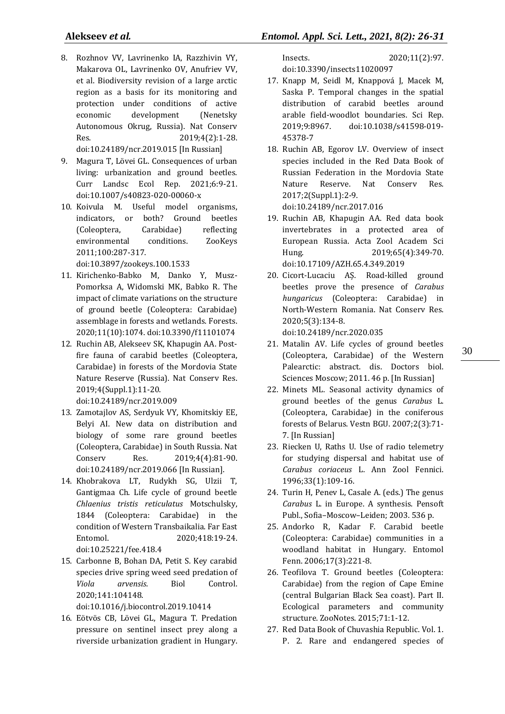- 8. Rozhnov VV, Lavrinenko IA, Razzhivin VY, Makarova OL, Lavrinenko OV, Anufriev VV, et al. Biodiversity revision of a large arctic region as a basis for its monitoring and protection under conditions of active economic development (Nenetsky Autonomous Okrug, Russia). Nat Conserv Res. 2019;4(2):1-28. doi:10.24189/ncr.2019.015 [In Russian]
- 9. Magura T, Lövei GL. Consequences of urban living: urbanization and ground beetles. Curr Landsc Ecol Rep. 2021;6:9-21. doi:10.1007/s40823-020-00060-x
- 10. Koivula M. Useful model organisms, indicators, or both? Ground beetles (Coleoptera, Carabidae) reflecting environmental conditions. ZooKeys 2011;100:287-317. doi:10.3897/zookeys.100.1533
- 11. Kirichenko-Babko M, Danko Y, Musz-Pomorksa A, Widomski MK, Babko R. The impact of climate variations on the structure of ground beetle (Coleoptera: Carabidae) assemblage in forests and wetlands. Forests. 2020;11(10):1074. doi:10.3390/f11101074
- 12. Ruchin AB, Alekseev SK, Khapugin AA. Postfire fauna of carabid beetles (Coleoptera, Carabidae) in forests of the Mordovia State Nature Reserve (Russia). Nat Conserv Res. 2019;4(Suppl.1):11-20. doi:10.24189/ncr.2019.009
- 13. Zamotajlov AS, Serdyuk VY, Khomitskiy EE, Belyi AI. New data on distribution and biology of some rare ground beetles (Coleoptera, Carabidae) in South Russia. Nat Conserv Res. 2019;4(4):81-90. doi:10.24189/ncr.2019.066 [In Russian].
- 14. Khobrakova LT, Rudykh SG, Ulzii T, Gantigmaa Ch. Life cycle of ground beetle *Chlaenius tristis reticulatus* Motschulsky, 1844 (Coleoptera: Carabidae) in the condition of Western Transbaikalia. Far East Entomol. 2020;418:19-24. doi:10.25221/fee.418.4
- 15. Carbonne B, Bohan DA, Petit S. Key carabid species drive spring weed seed predation of *Viola arvensis*. Biol Control. 2020;141:104148. doi:10.1016/j.biocontrol.2019.10414
- 16. Eötvös CB, Lövei GL, Magura T. Predation pressure on sentinel insect prey along a riverside urbanization gradient in Hungary.

Insects. 2020;11(2):97. doi:10.3390/insects11020097

- 17. Knapp M, Seidl M, Knappová J, Macek M, Saska P. Temporal changes in the spatial distribution of carabid beetles around arable field-woodlot boundaries. Sci Rep. 2019;9:8967. doi:10.1038/s41598-019- 45378-7
- 18. Ruchin AB, Egorov LV. Overview of insect species included in the Red Data Book of Russian Federation in the Mordovia State Nature Reserve. Nat Conserv Res. 2017;2(Suppl.1):2-9. doi:10.24189/ncr.2017.016
- 19. Ruchin AB, Khapugin AA. Red data book invertebrates in a protected area of European Russia. Acta Zool Academ Sci Hung. 2019;65(4):349-70. doi:10.17109/AZH.65.4.349.2019
- 20. Cicort-Lucaciu AȘ. Road-killed ground beetles prove the presence of *Carabus hungaricus* (Coleoptera: Carabidae) in North-Western Romania. Nat Conserv Res. 2020;5(3):134-8.

doi:10.24189/ncr.2020.035

- 21. Matalin AV. Life cycles of ground beetles (Coleoptera, Carabidae) of the Western Palearctic: abstract. dis. Doctors biol. Sciences Moscow; 2011. 46 p. [In Russian]
- 22. Minets ML. Seasonal activity dynamics of ground beetles of the genus *Carabus* L. (Coleoptera, Carabidae) in the coniferous forests of Belarus. Vestn BGU. 2007;2(3):71- 7. [In Russian]
- 23. Riecken U, Raths U. Use of radio telemetry for studying dispersal and habitat use of *Carabus coriaceus* L. Ann Zool Fennici. 1996;33(1):109-16.
- 24. Turin H, Penev L, Casale A. (eds.) The genus *Carabus* L. in Europe. A synthesis. Pensoft Publ., Sofia–Moscow–Leiden; 2003. 536 p.
- 25. Andorko R, Kadar F. Carabid beetle (Coleoptera: Carabidae) communities in a woodland habitat in Hungary. Entomol Fenn. 2006;17(3):221-8.
- 26. Teofilova T. Ground beetles (Coleoptera: Carabidae) from the region of Cape Emine (central Bulgarian Black Sea coast). Part II. Ecological parameters and community structure. ZooNotes. 2015;71:1-12.
- 27. Red Data Book of Chuvashia Republic. Vol. 1. P. 2. Rare and endangered species of

30